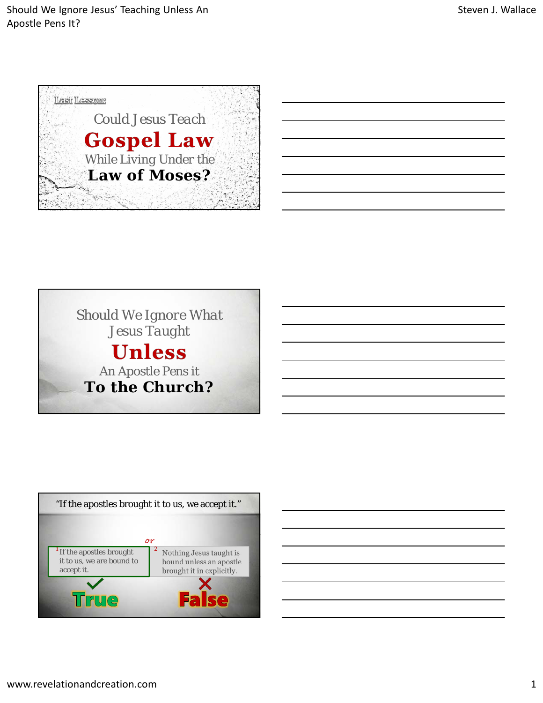





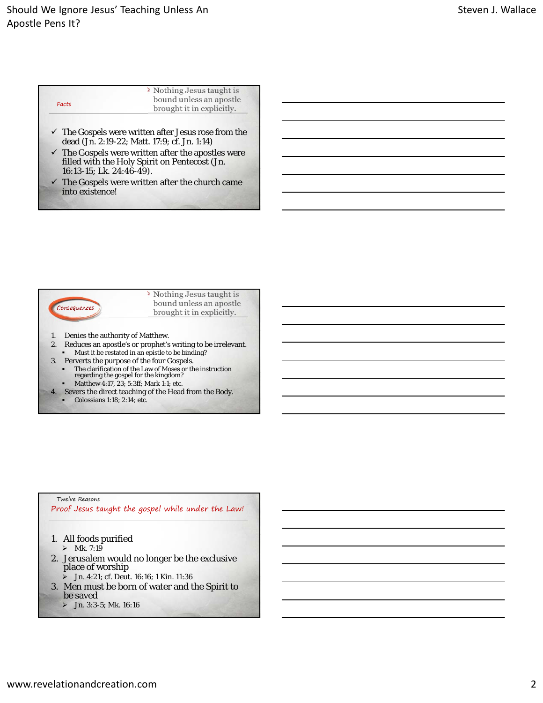## Should We Ignore Jesus' Teaching Unless An Apostle Pens It?

| Facts | <sup>2</sup> Nothing Jesus taught is<br>bound unless an apostle |  |  |
|-------|-----------------------------------------------------------------|--|--|
|       | brought it in explicitly.                                       |  |  |

- The *Gospels* were written after Jesus rose from the dead (Jn. 2:19-22; Matt. 17:9; cf. Jn. 1:14)
- The *Gospels* were written after the apostles were filled with the Holy Spirit on Pentecost (Jn. 16:13-15; Lk. 24:46-49).
- $\checkmark$  The *Gospels* were written after the church came into existence!



- 1. Denies the authority of Matthew.
- 2. Reduces an apostle's or prophet's writing to be irrelevant. Must it be restated in an epistle to be binding?
- 3. Perverts the purpose of the four Gospels.
	- The clarification of the Law of Moses or the instruction regarding the gospel for the kingdom?
- Matthew 4:17, 23; 5:3ff; Mark 1:1; etc. 4. Severs the direct teaching of the Head from the Body.
	- Colossians 1:18; 2:14; etc.

## Twelve Reasons

Proof Jesus taught the gospel while under the Law!

- 1. All foods purified
	- $\triangleright$  Mk. 7:19
- 2. Jerusalem would no longer be the exclusive place of worship
	- $\sum$  Jn. 4:21; cf. Deut. 16:16; 1 Kin. 11:36
- 3. Men must be born of water and the Spirit to be saved
	- $\sum$  Jn. 3:3-5; Mk. 16:16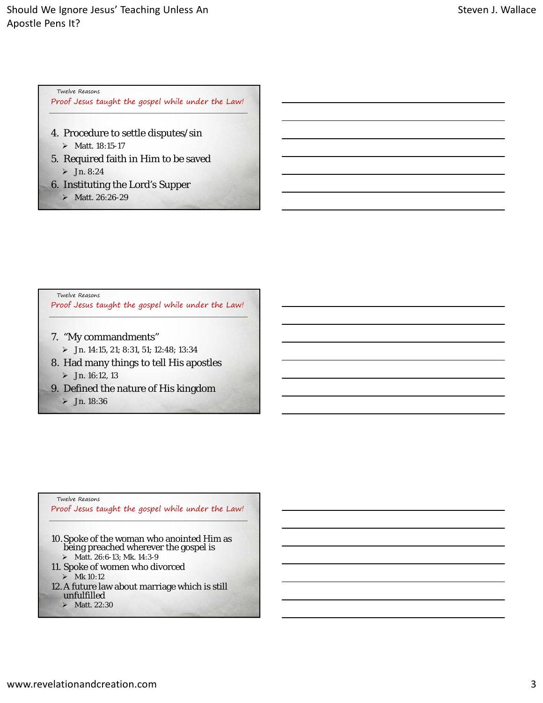Twelve Reasons

Proof Jesus taught the gospel while under the Law!

- 4. Procedure to settle disputes/sin Matt. 18:15-17
- 5. Required faith in Him to be saved  $>$  Jn. 8:24
- 6. Instituting the Lord's Supper
	- $\triangleright$  Matt. 26:26-29

Twelve Reasons

Proof Jesus taught the gospel while under the Law!

- 7. "My commandments"
	- Jn. 14:15, 21; 8:31, 51; 12:48; 13:34
- 8. Had many things to tell His apostles  $\triangleright$  Jn. 16:12, 13
- 9. Defined the nature of His kingdom
	- $\triangleright$  Jn. 18:36

## Twelve Reasons

Proof Jesus taught the gospel while under the Law!

- 10.Spoke of the woman who anointed Him as being preached wherever the gospel is > Matt. 26:6-13; Mk. 14:3-9
- 11. Spoke of women who divorced

 $\blacktriangleright$  Mk 10:12

- 12. A future law about marriage which is still unfulfilled
	- $\blacktriangleright$  Matt. 22:30